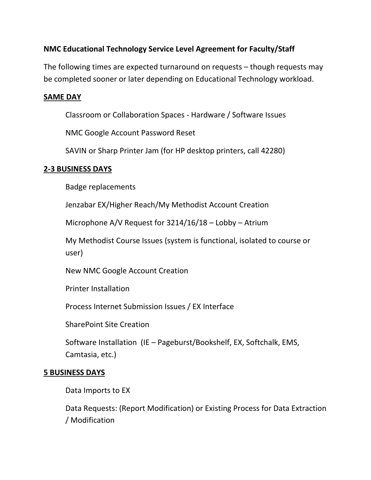# **NMC Educational Technology Service Level Agreement for Faculty/Staff**

The following times are expected turnaround on requests – though requests may be completed sooner or later depending on Educational Technology workload.

## **SAME DAY**

Classroom or Collaboration Spaces - Hardware / Software Issues

NMC Google Account Password Reset

SAVIN or Sharp Printer Jam (for HP desktop printers, call 42280)

### **2-3 BUSINESS DAYS**

Badge replacements

Jenzabar EX/Higher Reach/My Methodist Account Creation

Microphone A/V Request for 3214/16/18 – Lobby – Atrium

My Methodist Course Issues (system is functional, isolated to course or user)

New NMC Google Account Creation

Printer Installation

Process Internet Submission Issues / EX Interface

SharePoint Site Creation

Software Installation (IE – Pageburst/Bookshelf, EX, Softchalk, EMS, Camtasia, etc.)

#### **5 BUSINESS DAYS**

Data Imports to EX

Data Requests: (Report Modification) or Existing Process for Data Extraction / Modification